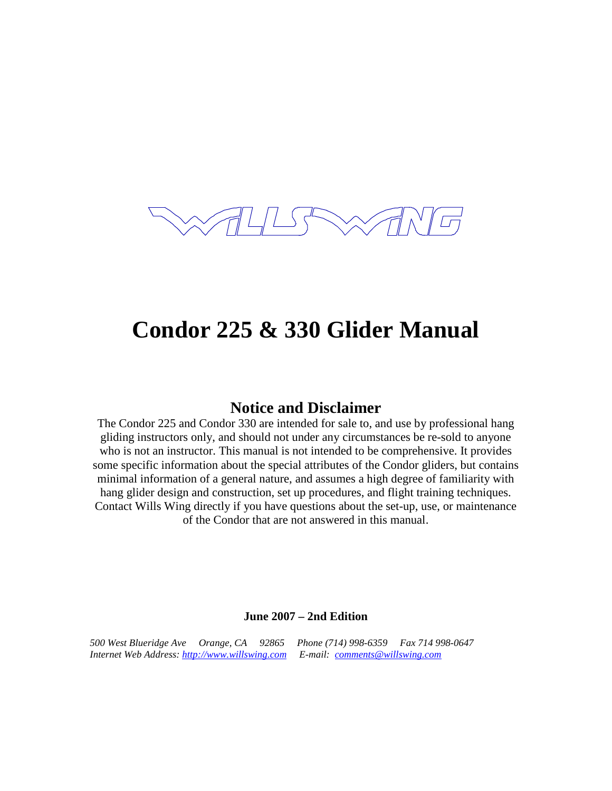

# **Condor 225 & 330 Glider Manual**

#### **Notice and Disclaimer**

The Condor 225 and Condor 330 are intended for sale to, and use by professional hang gliding instructors only, and should not under any circumstances be re-sold to anyone who is not an instructor. This manual is not intended to be comprehensive. It provides some specific information about the special attributes of the Condor gliders, but contains minimal information of a general nature, and assumes a high degree of familiarity with hang glider design and construction, set up procedures, and flight training techniques. Contact Wills Wing directly if you have questions about the set-up, use, or maintenance of the Condor that are not answered in this manual.

#### **June 2007 – 2nd Edition**

*500 West Blueridge Ave Orange, CA 92865 Phone (714) 998-6359 Fax 714 998-0647 Internet Web Address: http://www.willswing.com E-mail: comments@willswing.com*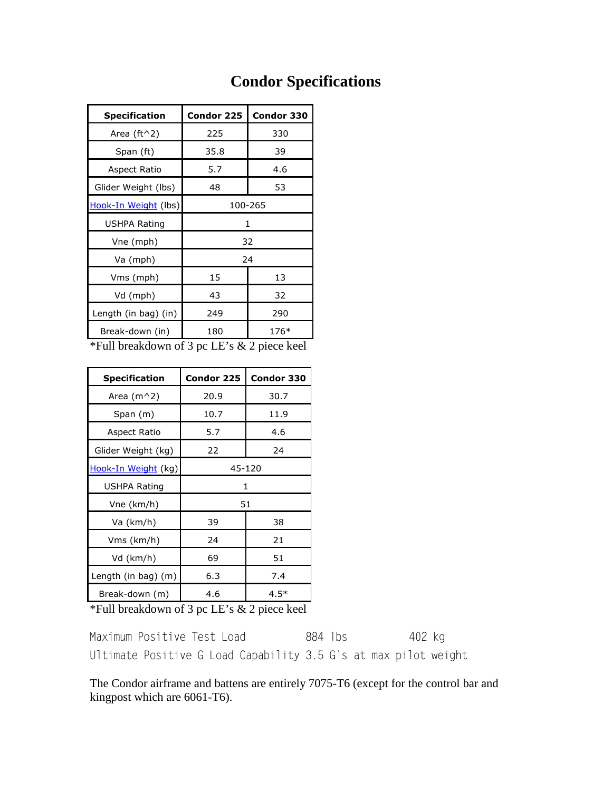## **Condor Specifications**

| <b>Specification</b>        | Condor 225 | Condor 330 |
|-----------------------------|------------|------------|
| Area (ft $\wedge$ 2)        | 225        | 330        |
| Span (ft)                   | 35.8       | 39         |
| Aspect Ratio                | 5.7        | 4.6        |
| Glider Weight (lbs)         | 48         | 53         |
| <u>Hook-In Weight</u> (lbs) | 100-265    |            |
| USHPA Rating                | 1          |            |
| Vne (mph)                   | 32         |            |
| Va (mph)                    | 24         |            |
| Vms (mph)                   | 15         | 13         |
| Vd (mph)                    | 43         | 32         |
| Length (in bag) (in)        | 249        | 290        |
| Break-down (in)             | 180        | 176*       |

\*Full breakdown of 3 pc LE's & 2 piece keel

| <b>Specification</b>  | <b>Condor 225</b> | Condor 330 |
|-----------------------|-------------------|------------|
| Area $(m^2)$          | 20.9              | 30.7       |
| Span (m)              | 10.7              | 11.9       |
| Aspect Ratio          | 5.7               | 4.6        |
| Glider Weight (kg)    | 22                | 24         |
| Hook-In Weight (kg)   | 45-120            |            |
| USHPA Rating          | 1                 |            |
| Vne (km/h)            | 51                |            |
| Va (km/h)<br>39<br>38 |                   |            |
| Vms (km/h)            | 24                | 21         |
| Vd (km/h)             | 69                | 51         |
| Length (in bag) (m)   | 6.3               | 7.4        |
| Break-down (m)        | 4.6               | 4.5*       |

\*Full breakdown of 3 pc LE's & 2 piece keel

Maximum Positive Test Load 884 lbs 402 kg Ultimate Positive G Load Capability 3.5 G's at max pilot weight

The Condor airframe and battens are entirely 7075-T6 (except for the control bar and kingpost which are 6061-T6).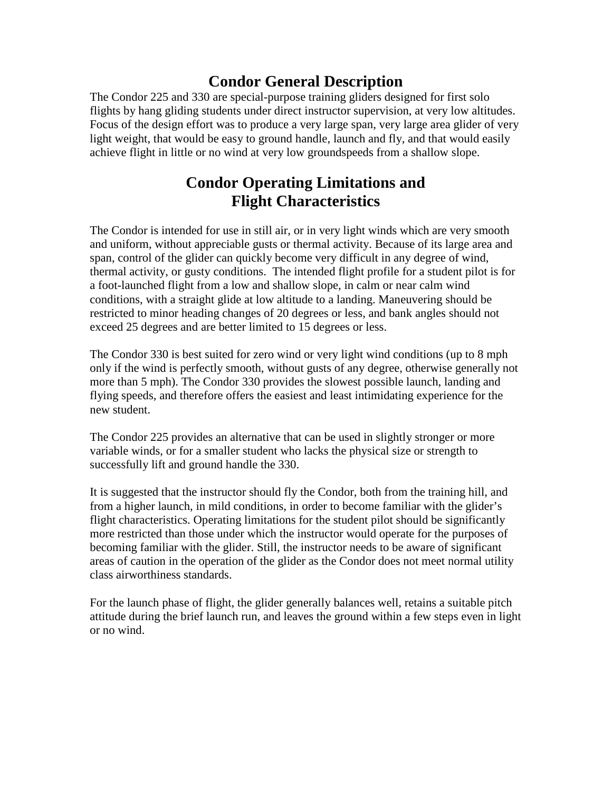### **Condor General Description**

The Condor 225 and 330 are special-purpose training gliders designed for first solo flights by hang gliding students under direct instructor supervision, at very low altitudes. Focus of the design effort was to produce a very large span, very large area glider of very light weight, that would be easy to ground handle, launch and fly, and that would easily achieve flight in little or no wind at very low groundspeeds from a shallow slope.

#### **Condor Operating Limitations and Flight Characteristics**

The Condor is intended for use in still air, or in very light winds which are very smooth and uniform, without appreciable gusts or thermal activity. Because of its large area and span, control of the glider can quickly become very difficult in any degree of wind, thermal activity, or gusty conditions. The intended flight profile for a student pilot is for a foot-launched flight from a low and shallow slope, in calm or near calm wind conditions, with a straight glide at low altitude to a landing. Maneuvering should be restricted to minor heading changes of 20 degrees or less, and bank angles should not exceed 25 degrees and are better limited to 15 degrees or less.

The Condor 330 is best suited for zero wind or very light wind conditions (up to 8 mph only if the wind is perfectly smooth, without gusts of any degree, otherwise generally not more than 5 mph). The Condor 330 provides the slowest possible launch, landing and flying speeds, and therefore offers the easiest and least intimidating experience for the new student.

The Condor 225 provides an alternative that can be used in slightly stronger or more variable winds, or for a smaller student who lacks the physical size or strength to successfully lift and ground handle the 330.

It is suggested that the instructor should fly the Condor, both from the training hill, and from a higher launch, in mild conditions, in order to become familiar with the glider's flight characteristics. Operating limitations for the student pilot should be significantly more restricted than those under which the instructor would operate for the purposes of becoming familiar with the glider. Still, the instructor needs to be aware of significant areas of caution in the operation of the glider as the Condor does not meet normal utility class airworthiness standards.

For the launch phase of flight, the glider generally balances well, retains a suitable pitch attitude during the brief launch run, and leaves the ground within a few steps even in light or no wind.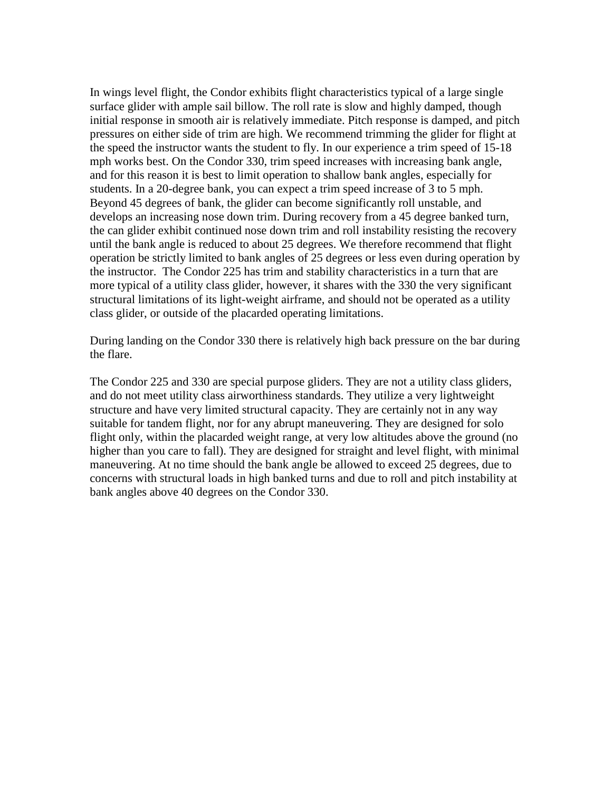In wings level flight, the Condor exhibits flight characteristics typical of a large single surface glider with ample sail billow. The roll rate is slow and highly damped, though initial response in smooth air is relatively immediate. Pitch response is damped, and pitch pressures on either side of trim are high. We recommend trimming the glider for flight at the speed the instructor wants the student to fly. In our experience a trim speed of 15-18 mph works best. On the Condor 330, trim speed increases with increasing bank angle, and for this reason it is best to limit operation to shallow bank angles, especially for students. In a 20-degree bank, you can expect a trim speed increase of 3 to 5 mph. Beyond 45 degrees of bank, the glider can become significantly roll unstable, and develops an increasing nose down trim. During recovery from a 45 degree banked turn, the can glider exhibit continued nose down trim and roll instability resisting the recovery until the bank angle is reduced to about 25 degrees. We therefore recommend that flight operation be strictly limited to bank angles of 25 degrees or less even during operation by the instructor. The Condor 225 has trim and stability characteristics in a turn that are more typical of a utility class glider, however, it shares with the 330 the very significant structural limitations of its light-weight airframe, and should not be operated as a utility class glider, or outside of the placarded operating limitations.

During landing on the Condor 330 there is relatively high back pressure on the bar during the flare.

The Condor 225 and 330 are special purpose gliders. They are not a utility class gliders, and do not meet utility class airworthiness standards. They utilize a very lightweight structure and have very limited structural capacity. They are certainly not in any way suitable for tandem flight, nor for any abrupt maneuvering. They are designed for solo flight only, within the placarded weight range, at very low altitudes above the ground (no higher than you care to fall). They are designed for straight and level flight, with minimal maneuvering. At no time should the bank angle be allowed to exceed 25 degrees, due to concerns with structural loads in high banked turns and due to roll and pitch instability at bank angles above 40 degrees on the Condor 330.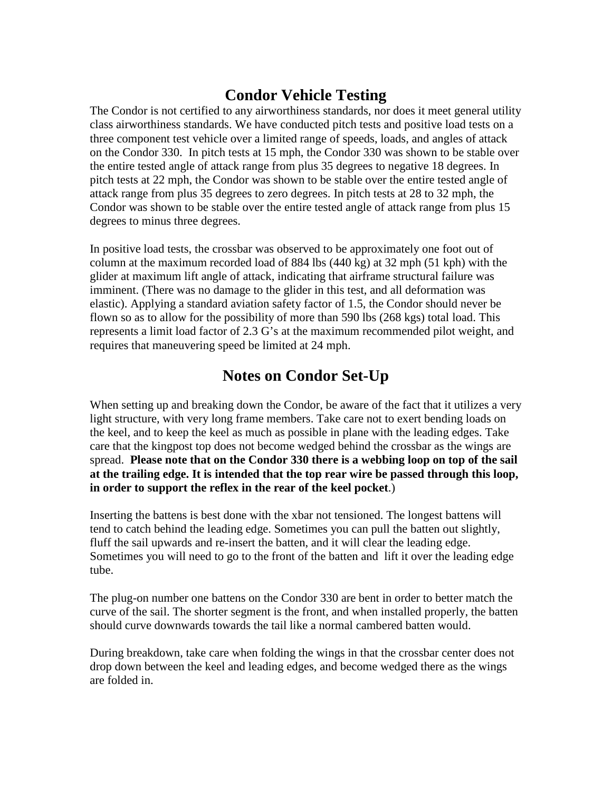### **Condor Vehicle Testing**

The Condor is not certified to any airworthiness standards, nor does it meet general utility class airworthiness standards. We have conducted pitch tests and positive load tests on a three component test vehicle over a limited range of speeds, loads, and angles of attack on the Condor 330. In pitch tests at 15 mph, the Condor 330 was shown to be stable over the entire tested angle of attack range from plus 35 degrees to negative 18 degrees. In pitch tests at 22 mph, the Condor was shown to be stable over the entire tested angle of attack range from plus 35 degrees to zero degrees. In pitch tests at 28 to 32 mph, the Condor was shown to be stable over the entire tested angle of attack range from plus 15 degrees to minus three degrees.

In positive load tests, the crossbar was observed to be approximately one foot out of column at the maximum recorded load of 884 lbs (440 kg) at 32 mph (51 kph) with the glider at maximum lift angle of attack, indicating that airframe structural failure was imminent. (There was no damage to the glider in this test, and all deformation was elastic). Applying a standard aviation safety factor of 1.5, the Condor should never be flown so as to allow for the possibility of more than 590 lbs (268 kgs) total load. This represents a limit load factor of 2.3 G's at the maximum recommended pilot weight, and requires that maneuvering speed be limited at 24 mph.

### **Notes on Condor Set-Up**

When setting up and breaking down the Condor, be aware of the fact that it utilizes a very light structure, with very long frame members. Take care not to exert bending loads on the keel, and to keep the keel as much as possible in plane with the leading edges. Take care that the kingpost top does not become wedged behind the crossbar as the wings are spread. **Please note that on the Condor 330 there is a webbing loop on top of the sail at the trailing edge. It is intended that the top rear wire be passed through this loop, in order to support the reflex in the rear of the keel pocket**.)

Inserting the battens is best done with the xbar not tensioned. The longest battens will tend to catch behind the leading edge. Sometimes you can pull the batten out slightly, fluff the sail upwards and re-insert the batten, and it will clear the leading edge. Sometimes you will need to go to the front of the batten and lift it over the leading edge tube.

The plug-on number one battens on the Condor 330 are bent in order to better match the curve of the sail. The shorter segment is the front, and when installed properly, the batten should curve downwards towards the tail like a normal cambered batten would.

During breakdown, take care when folding the wings in that the crossbar center does not drop down between the keel and leading edges, and become wedged there as the wings are folded in.